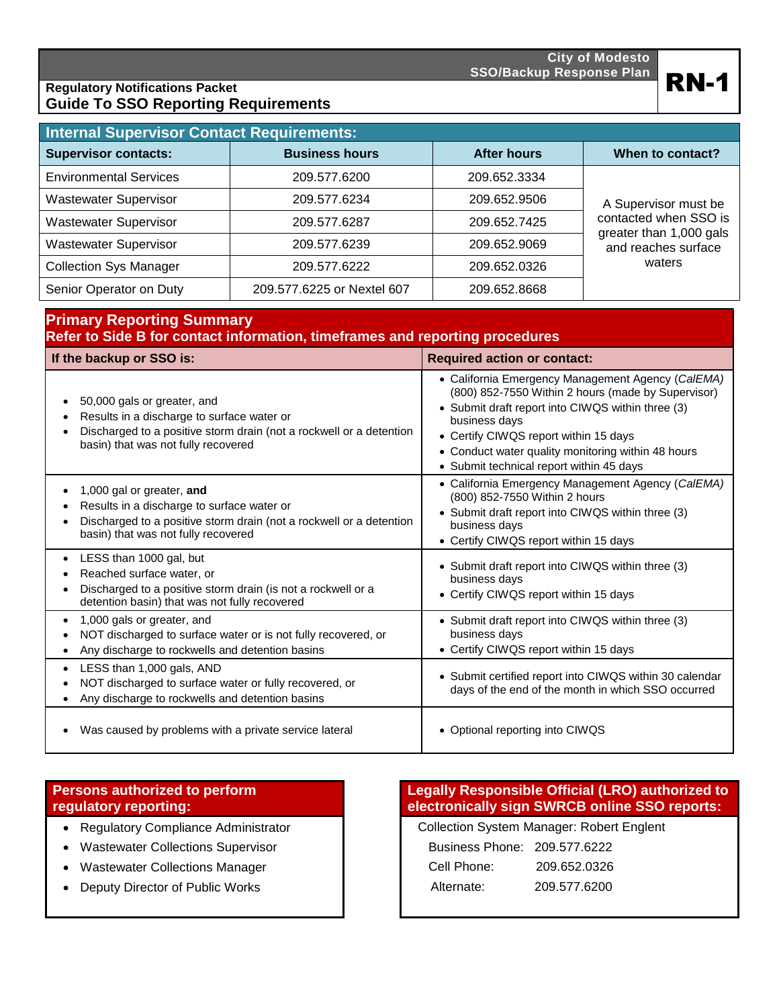

# Regulatory Notifications Packet **RN-1 Regulatory Notifications Packet Guide To SSO Reporting Requirements**

| <b>Internal Supervisor Contact Requirements:</b> |                            |                    |                                                |  |
|--------------------------------------------------|----------------------------|--------------------|------------------------------------------------|--|
| <b>Supervisor contacts:</b>                      | <b>Business hours</b>      | <b>After hours</b> | When to contact?                               |  |
| <b>Environmental Services</b>                    | 209.577.6200               | 209.652.3334       |                                                |  |
| <b>Wastewater Supervisor</b>                     | 209.577.6234               | 209.652.9506       | A Supervisor must be                           |  |
| <b>Wastewater Supervisor</b>                     | 209.577.6287               | 209.652.7425       | contacted when SSO is                          |  |
| <b>Wastewater Supervisor</b>                     | 209.577.6239               | 209.652.9069       | greater than 1,000 gals<br>and reaches surface |  |
| <b>Collection Sys Manager</b>                    | 209.577.6222               | 209.652.0326       | waters                                         |  |
| Senior Operator on Duty                          | 209.577.6225 or Nextel 607 | 209.652.8668       |                                                |  |

| <b>Primary Reporting Summary</b><br>Refer to Side B for contact information, timeframes and reporting procedures                                                                        |                                                                                                                                                                                                                                                                                                                          |  |  |
|-----------------------------------------------------------------------------------------------------------------------------------------------------------------------------------------|--------------------------------------------------------------------------------------------------------------------------------------------------------------------------------------------------------------------------------------------------------------------------------------------------------------------------|--|--|
| If the backup or SSO is:                                                                                                                                                                | <b>Required action or contact:</b>                                                                                                                                                                                                                                                                                       |  |  |
| 50,000 gals or greater, and<br>Results in a discharge to surface water or<br>Discharged to a positive storm drain (not a rockwell or a detention<br>basin) that was not fully recovered | • California Emergency Management Agency (CalEMA)<br>(800) 852-7550 Within 2 hours (made by Supervisor)<br>• Submit draft report into CIWQS within three (3)<br>business days<br>• Certify CIWQS report within 15 days<br>• Conduct water quality monitoring within 48 hours<br>• Submit technical report within 45 days |  |  |
| 1,000 gal or greater, and<br>Results in a discharge to surface water or<br>Discharged to a positive storm drain (not a rockwell or a detention<br>basin) that was not fully recovered   | • California Emergency Management Agency (CalEMA)<br>(800) 852-7550 Within 2 hours<br>• Submit draft report into CIWQS within three (3)<br>business days<br>• Certify CIWQS report within 15 days                                                                                                                        |  |  |
| LESS than 1000 gal, but<br>Reached surface water, or<br>Discharged to a positive storm drain (is not a rockwell or a<br>detention basin) that was not fully recovered                   | • Submit draft report into CIWQS within three (3)<br>business days<br>• Certify CIWQS report within 15 days                                                                                                                                                                                                              |  |  |
| 1,000 gals or greater, and<br>NOT discharged to surface water or is not fully recovered, or<br>Any discharge to rockwells and detention basins                                          | • Submit draft report into CIWQS within three (3)<br>business days<br>• Certify CIWQS report within 15 days                                                                                                                                                                                                              |  |  |
| LESS than 1,000 gals, AND<br>NOT discharged to surface water or fully recovered, or<br>Any discharge to rockwells and detention basins                                                  | • Submit certified report into CIWQS within 30 calendar<br>days of the end of the month in which SSO occurred                                                                                                                                                                                                            |  |  |
| Was caused by problems with a private service lateral                                                                                                                                   | • Optional reporting into CIWQS                                                                                                                                                                                                                                                                                          |  |  |

## **Persons authorized to perform regulatory reporting:**

- Regulatory Compliance Administrator **Collection System Manager: Robert Englent**
- Wastewater Collections Supervisor
- Wastewater Collections Manager
- Deputy Director of Public Works

## **Legally Responsible Official (LRO) authorized to electronically sign SWRCB online SSO reports:**

| Business Phone: 209.577.6222 |              |
|------------------------------|--------------|
| Cell Phone:                  | 209.652.0326 |
| Alternate:                   | 209.577.6200 |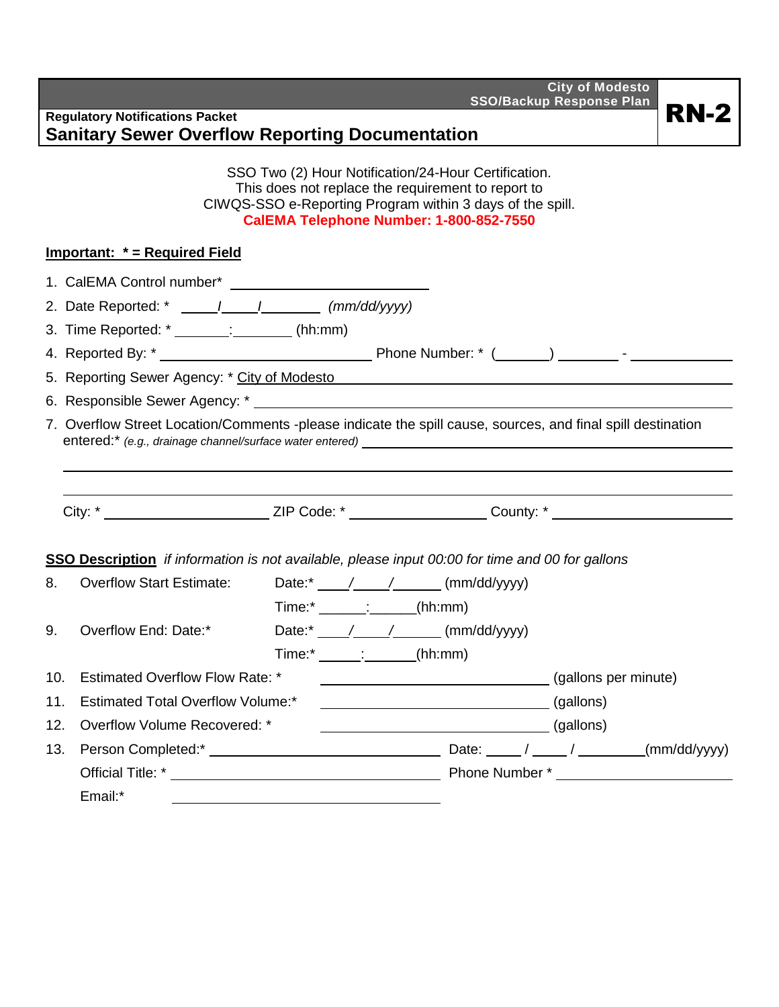**City of Modesto SSO/Backup Response Plan** Regulatory Notifications Packet **RN-2 RN-2** 

|     | <b>Sanitary Sewer Overflow Reporting Documentation</b> |                          |                                                                                                                                                                                                                                                                                                                                                                            |  |
|-----|--------------------------------------------------------|--------------------------|----------------------------------------------------------------------------------------------------------------------------------------------------------------------------------------------------------------------------------------------------------------------------------------------------------------------------------------------------------------------------|--|
|     |                                                        |                          | SSO Two (2) Hour Notification/24-Hour Certification.<br>This does not replace the requirement to report to<br>CIWQS-SSO e-Reporting Program within 3 days of the spill.<br>CalEMA Telephone Number: 1-800-852-7550                                                                                                                                                         |  |
|     | <b>Important: * = Required Field</b>                   |                          |                                                                                                                                                                                                                                                                                                                                                                            |  |
|     |                                                        |                          |                                                                                                                                                                                                                                                                                                                                                                            |  |
|     |                                                        |                          |                                                                                                                                                                                                                                                                                                                                                                            |  |
|     | 3. Time Reported: * _______: (hh:mm)                   |                          |                                                                                                                                                                                                                                                                                                                                                                            |  |
|     |                                                        |                          |                                                                                                                                                                                                                                                                                                                                                                            |  |
|     |                                                        |                          | 5. Reporting Sewer Agency: * City of Modesto Machinese Communication of the Reporting Sewer Agency: * City of Modesto                                                                                                                                                                                                                                                      |  |
|     |                                                        |                          |                                                                                                                                                                                                                                                                                                                                                                            |  |
|     |                                                        |                          | 7. Overflow Street Location/Comments -please indicate the spill cause, sources, and final spill destination                                                                                                                                                                                                                                                                |  |
|     |                                                        |                          | City: * _______________________________ZIP Code: * ______________________County: * ______________________                                                                                                                                                                                                                                                                  |  |
|     |                                                        |                          | <b>SSO Description</b> if information is not available, please input 00:00 for time and 00 for gallons                                                                                                                                                                                                                                                                     |  |
| 8.  | <b>Overflow Start Estimate:</b>                        |                          | Date: $\frac{*}{\sqrt{1-\frac{1}{2}}}$ (mm/dd/yyyy)                                                                                                                                                                                                                                                                                                                        |  |
|     |                                                        | $Time: ________$ (hh:mm) |                                                                                                                                                                                                                                                                                                                                                                            |  |
| 9.  | Overflow End: Date:*                                   |                          | Date: $\sqrt{2}$ / $\sqrt{2}$ (mm/dd/yyyy)                                                                                                                                                                                                                                                                                                                                 |  |
|     |                                                        | $Time: *$ (hh:mm)        |                                                                                                                                                                                                                                                                                                                                                                            |  |
| 10. | <b>Estimated Overflow Flow Rate: *</b>                 |                          | (gallons per minute)                                                                                                                                                                                                                                                                                                                                                       |  |
| 11. | <b>Estimated Total Overflow Volume:*</b>               |                          | $\begin{tabular}{c} \hline \rule[1mm]{1mm}{0.12mm} \rule[1mm]{1mm}{0.12mm} \rule[1mm]{1mm}{0.12mm} \rule[1mm]{1mm}{0.12mm} \rule[1mm]{1mm}{0.12mm} \rule[1mm]{1mm}{0.12mm} \rule[1mm]{1mm}{0.12mm} \rule[1mm]{1mm}{0.12mm} \rule[1mm]{1mm}{0.12mm} \rule[1mm]{1mm}{0.12mm} \rule[1mm]{1mm}{0.12mm} \rule[1mm]{1mm}{0.12mm} \rule[1mm]{1mm}{0.12mm} \rule[1mm]{1mm}{0.12mm$ |  |
| 12. | Overflow Volume Recovered: *                           |                          |                                                                                                                                                                                                                                                                                                                                                                            |  |
| 13. |                                                        |                          |                                                                                                                                                                                                                                                                                                                                                                            |  |
|     |                                                        |                          |                                                                                                                                                                                                                                                                                                                                                                            |  |

Email:\*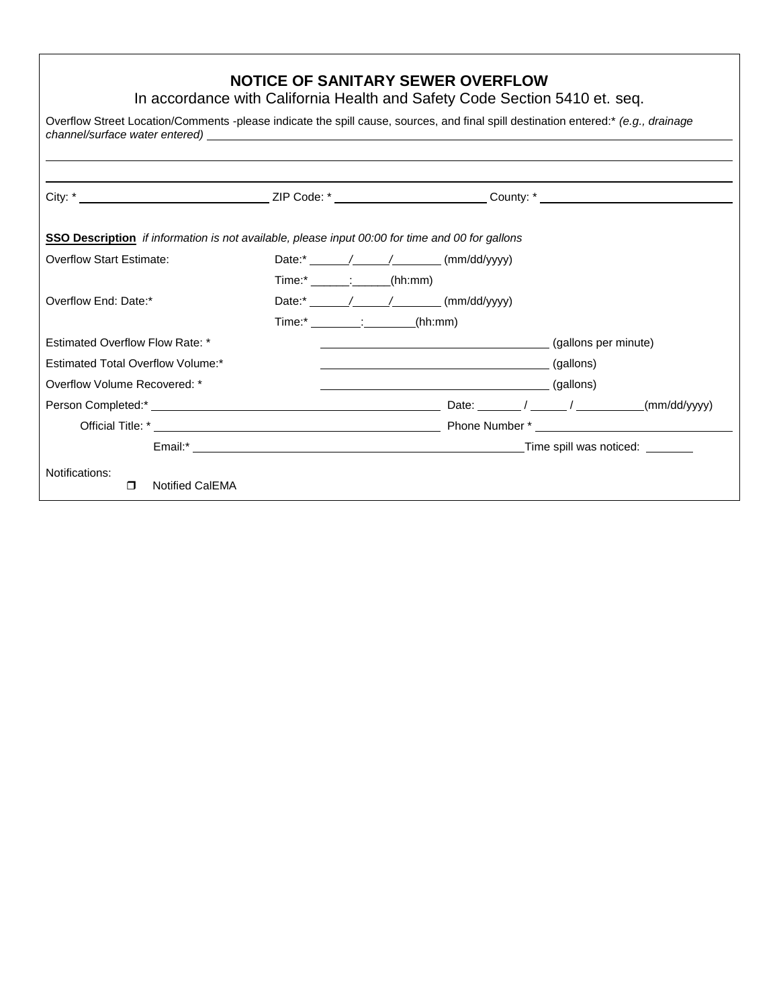# **NOTICE OF SANITARY SEWER OVERFLOW**

In accordance with California Health and Safety Code Section 5410 et. seq.

| Overflow Street Location/Comments -please indicate the spill cause, sources, and final spill destination entered:* (e.g., drainage |                                                                          |  |                                                                         |
|------------------------------------------------------------------------------------------------------------------------------------|--------------------------------------------------------------------------|--|-------------------------------------------------------------------------|
|                                                                                                                                    |                                                                          |  |                                                                         |
| <b>SSO Description</b> if information is not available, please input 00:00 for time and 00 for gallons                             |                                                                          |  |                                                                         |
| <b>Overflow Start Estimate:</b>                                                                                                    |                                                                          |  |                                                                         |
|                                                                                                                                    | $Time: *$ (hh:mm)                                                        |  |                                                                         |
| Overflow End: Date:*                                                                                                               | Date: $\overline{\phantom{a}}$ / / $\overline{\phantom{a}}$ (mm/dd/yyyy) |  |                                                                         |
|                                                                                                                                    | Time:* : (hh:mm)                                                         |  |                                                                         |
| Estimated Overflow Flow Rate: *                                                                                                    |                                                                          |  | (gallons per minute)                                                    |
| <b>Estimated Total Overflow Volume:*</b>                                                                                           |                                                                          |  |                                                                         |
| Overflow Volume Recovered: *                                                                                                       |                                                                          |  |                                                                         |
|                                                                                                                                    |                                                                          |  | Date: $\frac{1}{\sqrt{2\pi}}$ / $\frac{1}{\sqrt{2\pi}}$<br>(mm/dd/yyyy) |
|                                                                                                                                    |                                                                          |  |                                                                         |
|                                                                                                                                    |                                                                          |  |                                                                         |
| Notifications:<br><b>Notified CalEMA</b><br>$\Box$                                                                                 |                                                                          |  |                                                                         |